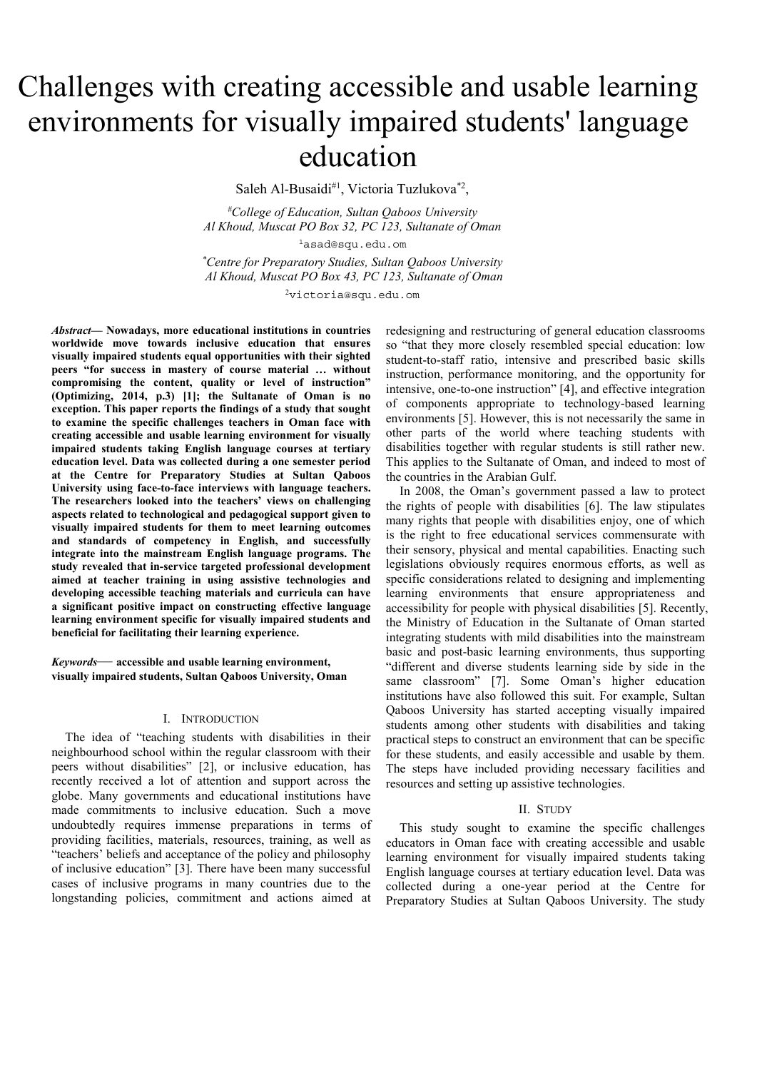# Challenges with creating accessible and usable learning environments for visually impaired students' language education

Saleh Al-Busaidi<sup>#1</sup>, Victoria Tuzlukova<sup>\*2</sup>,

*# College of Education, Sultan Qaboos University Al Khoud, Muscat PO Box 32, PC 123, Sultanate of Oman*  1asad@squ.edu.om

*\* Centre for Preparatory Studies, Sultan Qaboos University Al Khoud, Muscat PO Box 43, PC 123, Sultanate of Oman*  <sup>2</sup>victoria@squ.edu.om

*Abstract***— Nowadays, more educational institutions in countries worldwide move towards inclusive education that ensures visually impaired students equal opportunities with their sighted peers "for success in mastery of course material … without compromising the content, quality or level of instruction" (Optimizing, 2014, p.3) [1]; the Sultanate of Oman is no exception. This paper reports the findings of a study that sought to examine the specific challenges teachers in Oman face with creating accessible and usable learning environment for visually impaired students taking English language courses at tertiary education level. Data was collected during a one semester period at the Centre for Preparatory Studies at Sultan Qaboos University using face-to-face interviews with language teachers. The researchers looked into the teachers' views on challenging aspects related to technological and pedagogical support given to visually impaired students for them to meet learning outcomes and standards of competency in English, and successfully integrate into the mainstream English language programs. The study revealed that in-service targeted professional development aimed at teacher training in using assistive technologies and developing accessible teaching materials and curricula can have a significant positive impact on constructing effective language learning environment specific for visually impaired students and beneficial for facilitating their learning experience.** 

*Keywords*— **accessible and usable learning environment, visually impaired students, Sultan Qaboos University, Oman**

## I. INTRODUCTION

The idea of "teaching students with disabilities in their neighbourhood school within the regular classroom with their peers without disabilities" [2], or inclusive education, has recently received a lot of attention and support across the globe. Many governments and educational institutions have made commitments to inclusive education. Such a move undoubtedly requires immense preparations in terms of providing facilities, materials, resources, training, as well as "teachers' beliefs and acceptance of the policy and philosophy of inclusive education" [3]. There have been many successful cases of inclusive programs in many countries due to the longstanding policies, commitment and actions aimed at

redesigning and restructuring of general education classrooms so "that they more closely resembled special education: low student-to-staff ratio, intensive and prescribed basic skills instruction, performance monitoring, and the opportunity for intensive, one-to-one instruction" [4], and effective integration of components appropriate to technology-based learning environments [5]. However, this is not necessarily the same in other parts of the world where teaching students with disabilities together with regular students is still rather new. This applies to the Sultanate of Oman, and indeed to most of the countries in the Arabian Gulf.

In 2008, the Oman's government passed a law to protect the rights of people with disabilities [6]. The law stipulates many rights that people with disabilities enjoy, one of which is the right to free educational services commensurate with their sensory, physical and mental capabilities. Enacting such legislations obviously requires enormous efforts, as well as specific considerations related to designing and implementing learning environments that ensure appropriateness and accessibility for people with physical disabilities [5]. Recently, the Ministry of Education in the Sultanate of Oman started integrating students with mild disabilities into the mainstream basic and post-basic learning environments, thus supporting "different and diverse students learning side by side in the same classroom" [7]. Some Oman's higher education institutions have also followed this suit. For example, Sultan Qaboos University has started accepting visually impaired students among other students with disabilities and taking practical steps to construct an environment that can be specific for these students, and easily accessible and usable by them. The steps have included providing necessary facilities and resources and setting up assistive technologies.

#### II. STUDY

This study sought to examine the specific challenges educators in Oman face with creating accessible and usable learning environment for visually impaired students taking English language courses at tertiary education level. Data was collected during a one-year period at the Centre for Preparatory Studies at Sultan Qaboos University. The study